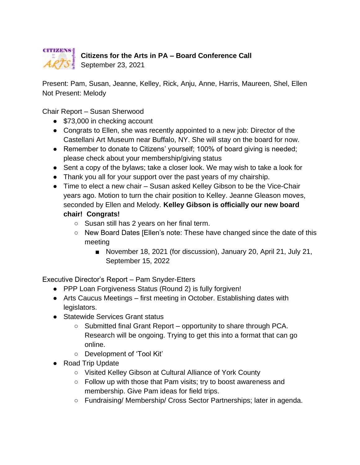

## **Citizens for the Arts in PA – Board Conference Call**

 $\mathcal{A} \mathcal{R} \mathcal{T} \mathcal{S}$  September 23, 2021

Present: Pam, Susan, Jeanne, Kelley, Rick, Anju, Anne, Harris, Maureen, Shel, Ellen Not Present: Melody

Chair Report – Susan Sherwood

- \$73,000 in checking account
- Congrats to Ellen, she was recently appointed to a new job: Director of the Castellani Art Museum near Buffalo, NY. She will stay on the board for now.
- Remember to donate to Citizens' yourself; 100% of board giving is needed; please check about your membership/giving status
- Sent a copy of the bylaws; take a closer look. We may wish to take a look for
- Thank you all for your support over the past years of my chairship.
- Time to elect a new chair Susan asked Kelley Gibson to be the Vice-Chair years ago. Motion to turn the chair position to Kelley. Jeanne Gleason moves, seconded by Ellen and Melody. **Kelley Gibson is officially our new board chair! Congrats!**
	- Susan still has 2 years on her final term.
	- New Board Dates [Ellen's note: These have changed since the date of this meeting
		- November 18, 2021 (for discussion), January 20, April 21, July 21, September 15, 2022

Executive Director's Report – Pam Snyder-Etters

- PPP Loan Forgiveness Status (Round 2) is fully forgiven!
- Arts Caucus Meetings first meeting in October. Establishing dates with legislators.
- Statewide Services Grant status
	- Submitted final Grant Report opportunity to share through PCA. Research will be ongoing. Trying to get this into a format that can go online.
	- Development of 'Tool Kit'
- Road Trip Update
	- Visited Kelley Gibson at Cultural Alliance of York County
	- Follow up with those that Pam visits; try to boost awareness and membership. Give Pam ideas for field trips.
	- Fundraising/ Membership/ Cross Sector Partnerships; later in agenda.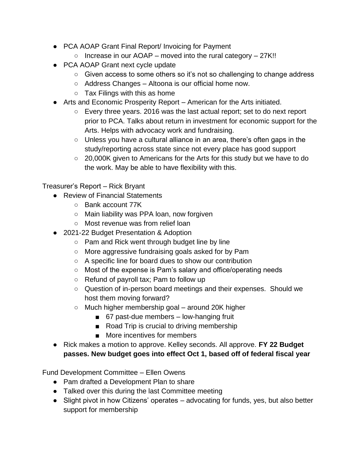- PCA AOAP Grant Final Report/ Invoicing for Payment
	- $\circ$  Increase in our AOAP moved into the rural category 27K!!
- PCA AOAP Grant next cycle update
	- Given access to some others so it's not so challenging to change address
	- Address Changes Altoona is our official home now.
	- $\circ$  Tax Filings with this as home
- Arts and Economic Prosperity Report American for the Arts initiated.
	- Every three years. 2016 was the last actual report; set to do next report prior to PCA. Talks about return in investment for economic support for the Arts. Helps with advocacy work and fundraising.
	- Unless you have a cultural alliance in an area, there's often gaps in the study/reporting across state since not every place has good support
	- 20,000K given to Americans for the Arts for this study but we have to do the work. May be able to have flexibility with this.

Treasurer's Report – Rick Bryant

- Review of Financial Statements
	- Bank account 77K
	- Main liability was PPA loan, now forgiven
	- Most revenue was from relief loan
- 2021-22 Budget Presentation & Adoption
	- Pam and Rick went through budget line by line
	- More aggressive fundraising goals asked for by Pam
	- A specific line for board dues to show our contribution
	- Most of the expense is Pam's salary and office/operating needs
	- $\circ$  Refund of payroll tax; Pam to follow up
	- Question of in-person board meetings and their expenses. Should we host them moving forward?
	- $\circ$  Much higher membership goal around 20K higher
		- 67 past-due members low-hanging fruit
		- Road Trip is crucial to driving membership
		- More incentives for members
- Rick makes a motion to approve. Kelley seconds. All approve. **FY 22 Budget passes. New budget goes into effect Oct 1, based off of federal fiscal year**

Fund Development Committee – Ellen Owens

- Pam drafted a Development Plan to share
- Talked over this during the last Committee meeting
- Slight pivot in how Citizens' operates advocating for funds, yes, but also better support for membership